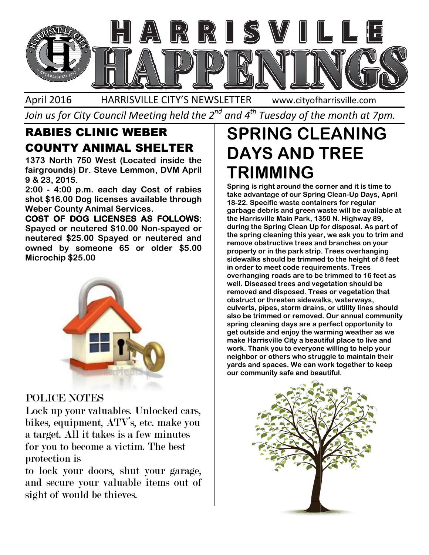

April 2016 HARRISVILLE CITY'S NEWSLETTER Join us for City Council Meeting held the 2 $^{\mathit{nd}}$  and 4 $^{\mathit{th}}$  Tuesday of the month at 7pm. www.cityofharrisville.com

## RABIES CLINIC WEBER COUNTY ANIMAL SHELTER

1373 North 750 West (Located inside the fairgrounds) Dr. Steve Lemmon, DVM April 9 & 23, 2015.

2:00 - 4:00 p.m. each day Cost of rabies shot \$16.00 Dog licenses available through Weber County Animal Services. 1373 North 750 West (Located inside the<br>fairgrounds) Dr. Steve Lemmon, DVM April<br>9 & 23, 2015.<br>2:00 - 4:00 p.m. each day Cost of rabies<br>shot \$16.00 Dog licenses available through<br>Weber County Animal Services.<br>COST OF DOG L

COST OF DOG LICENSES AS FOLLOWS Spayed or neutered \$10.00 Non--spayed or neutered \$25.00 Spayed or neutered and neutered \$25.00 Spayed or neutered and<br>owned by someone 65 or older \$5.00 Microchip \$25.00



#### POLICE NOTES

Lock up your valuables. Unlocked cars, bikes, equipment, ATV's, etc. make you<br>a target. All it takes is a few minutes<br>for you to become a victim. The best a target. All it takes is a few minutes for you to become a victim. The best protection is

to lock your doors, shut your garage, and secure your valuable items out of sight of would be thieves.

# DAYS AND TREE TRIMMING

LOCK SECURE SCALING WE WANT ANY AND TRANSPORTED UNIT ANY AND TRUSH IN THE SUCH AN INCREASE AND TRUSH IN THE STATE OF THE SPACE AND TRUSH IN THE SPACE AND TRUSH IN THE SPACE AND TRUSH IN THE SPACE AND TRUSH IN THE SPACE AND Spring is right around the corner and it is time to take advantage of our Spring Clean-Up Days, April 18-22. Specific waste containers for regular garbage debris and green waste will be available at the Harrisville Main Park, 1350 N. Highway 89, during the Spring Clean Up for disposal. As part of the spring cleaning this year, we ask you to trim and remove obstructive trees and branches on your property or in the park strip. Trees overhanging sidewalks should be trimmed to the height of 8 feet in order to meet code requirements. Trees overhanging roads are to be trimmed to 16 feet as well. Diseased trees and vegetation should be removed and disposed. Trees or vegetation that obstruct or threaten sidewalks, waterways, culverts, pipes, storm drains, or utility lines should also be trimmed or removed. Our annual community spring cleaning days are a perfect opportunity to get outside and enjoy the warming weather as we make Harrisville City a beautiful place to live and work. Thank you to everyone willing to help your neighbor or others who struggle to maintain their yards and spaces. We can work together to keep our community safe and beautiful. 18-22. Specific waste containers for regular<br>garbage debris and green waste will be available at<br>the Harrisville Main Park, 1350 N. Highway 89,<br>during the Spring Clean Up for disposal. As part of<br>the spring cleaning this y removed and disposed. Trees or vegetation that<br>obstruct or threaten sidewalks, waterways,<br>culverts, pipes, storm drains, or utility lines shoul<br>also be trimmed or removed. Our annual commur<br>spring cleaning days are a perfe Thank you to everyone wil<br>›or or others who struggle<br>and spaces. We can work